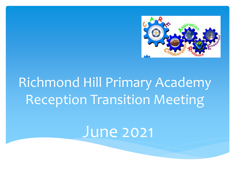

# Richmond Hill Primary Academy Reception Transition Meeting

# June 2021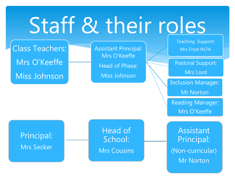# Staff & their roles

Class Teachers: Mrs O'Keeffe Miss Johnson

Assistant Principal: Mrs O'Keeffe Head of Phase: Miss Johnson

Teaching Support: Mrs Frost HLTA

Pastoral Support:

Mrs Lord

Inclusion Manager:

Mr Norton

Reading Manager: Mrs O'Keeffe

Principal: Mrs Secker

Head of School: Mrs Cousins

**Assistant** Principal: (Non-curricular) Mr Norton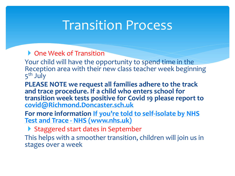### Transition Process

- ▶ One Week of Transition
- Your child will have the opportunity to spend time in the Reception area with their new class teacher week beginning 5<sup>th</sup> July
- **PLEASE NOTE we request all families adhere to the track and trace procedure. If a child who enters school for transition week tests positive for Covid 19 please report to [covid@Richmond.Doncaster.sch.uk](mailto:covid@Richmond.Doncaster.sch.uk)**
- **[For more information If you're told to self-isolate by NHS](https://www.nhs.uk/conditions/coronavirus-covid-19/self-isolation-and-treatment/if-youre-told-to-self-isolate-by-nhs-test-and-trace-or-the-covid-19-app/)  Test and Trace - NHS (www.nhs.uk)**
- Staggered start dates in September
- This helps with a smoother transition, children will join us in stages over a week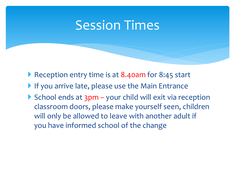### Session Times

- ▶ Reception entry time is at 8.40am for 8:45 start
- If you arrive late, please use the Main Entrance
- School ends at  $3pm -$  your child will exit via reception classroom doors, please make yourself seen, children will only be allowed to leave with another adult if you have informed school of the change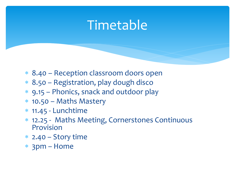## **Timetable**

- 8.40 Reception classroom doors open
- 8.50 Registration, play dough disco
- 9.15 Phonics, snack and outdoor play
- 10.50 Maths Mastery
- 11.45 Lunchtime
- 12.25 Maths Meeting, Cornerstones Continuous Provision
- $*$  2.40 Story time
- 3pm Home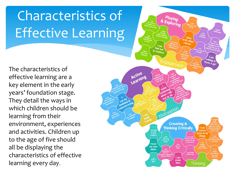# Characteristics of Effective Learning

The characteristics of effective learning are a key element in the early years' foundation stage. They detail the ways in which children should be learning from their environment, experiences and activities. Children up to the age of five should all be displaying the characteristics of effective learning every day.

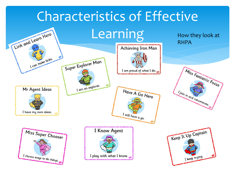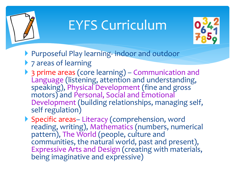

# EYFS Curriculum



- Purposeful Play learning- indoor and outdoor
- ▶ 7 areas of learning
- ▶ 3 prime areas (core learning) Communication and Language (listening, attention and understanding, speaking), Physical Development (fine and gross motors) and Personal, Social and Emotional Development (building relationships, managing self, self regulation)

▶ Specific areas- Literacy (comprehension, word reading, writing), Mathematics (numbers, numerical pattern), The World (people, culture and communities, the natural world, past and present), Expressive Arts and Design (creating with materials, being imaginative and expressive)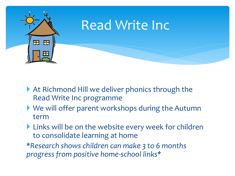

- ▶ At Richmond Hill we deliver phonics through the Read Write Inc programme
- We will offer parent workshops during the Autumn term
- Links will be on the website every week for children to consolidate learning at home

*\*Research shows children can make 3 to 6 months progress from positive home-school links\**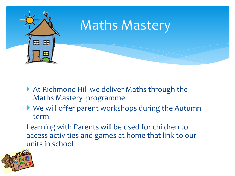

- ▶ At Richmond Hill we deliver Maths through the Maths Mastery programme
- We will offer parent workshops during the Autumn term

Learning with Parents will be used for children to access activities and games at home that link to our units in school

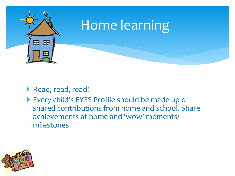

#### Read, read, read!

 Every child's EYFS Profile should be made up of shared contributions from home and school. Share achievements at home and 'wow' moments/ milestones

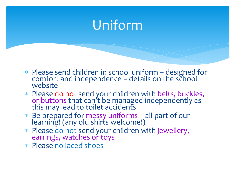# Uniform

- Please send children in school uniform designed for comfort and independence – details on the school website
- Please do not send your children with belts, buckles, or buttons that can't be managed independently as this may lead to toilet accidents
- Be prepared for messy uniforms all part of our learning! (any old shirts welcome!)
- Please do not send your children with jewellery, earrings, watches or toys
- Please no laced shoes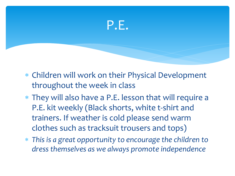

- Children will work on their Physical Development throughout the week in class
- They will also have a P.E. lesson that will require a P.E. kit weekly (Black shorts, white t-shirt and trainers. If weather is cold please send warm clothes such as tracksuit trousers and tops)
- *This is a great opportunity to encourage the children to dress themselves as we always promote independence*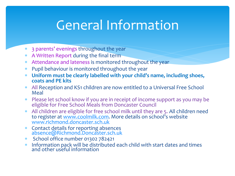# General Information

- 3 parents' evenings throughout the year
- A Written Report during the final term
- Attendance and lateness is monitored throughout the year
- Pupil behaviour is monitored throughout the year
- **Uniform must be clearly labelled with your child's name, including shoes, coats and PE kits**
- All Reception and KS1 children are now entitled to a Universal Free School Meal
- Please let school know if you are in receipt of income support as you may be eligible for Free School Meals from Doncaster Council
- All children are eligible for free school milk until they are 5. All children need to register at [www.coolmilk.com](http://www.coolmilk.com/). More details on school's website [www.richmond.doncaster.sch.uk](http://www.richmond.doncaster.sch.uk/)
- Contact details for reporting absences [absence@Richmond.Doncaster.sch.uk](mailto:absence@Richmond.Doncaster.sch.uk)
- School office number 01302 782421
- \* Information pack will be distributed each child with start dates and times and other useful information